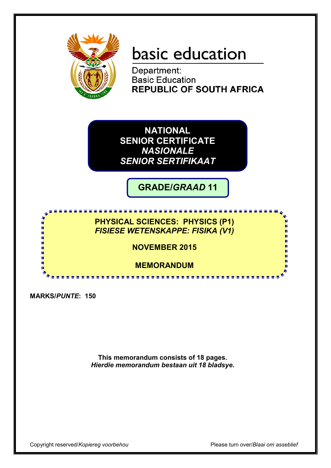

# basic education

Department: **Basic Education REPUBLIC OF SOUTH AFRICA** 

**NATIONAL SENIOR CERTIFICATE** *NASIONALE SENIOR SERTIFIKAAT*

**GRADE/***GRAAD* **11**

# **PHYSICAL SCIENCES: PHYSICS (P1)** *FISIESE WETENSKAPPE: FISIKA (V1)*

**NOVEMBER 2015**

**MEMORANDUM**

**MARKS/***PUNTE***: 150**

庫 II. т m m II. II.

> **This memorandum consists of 18 pages.** *Hierdie memorandum bestaan uit 18 bladsye.*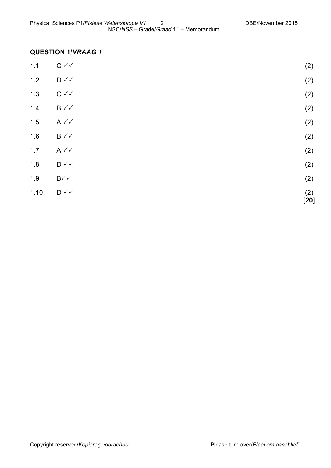# **QUESTION 1/***VRAAG 1*

| 1.10  | $D \vee \vee$                | (2)<br>$[20]$ |
|-------|------------------------------|---------------|
| 1.9   | $B\checkmark$                | (2)           |
| 1.8   | $D \vee \vee$                | (2)           |
| 1.7   | $A \vee \vee$                | (2)           |
| 1.6   | $B \vee\checkmark$           | (2)           |
| 1.5   | $A \vee C$                   | (2)           |
| $1.4$ | $B \vee \vee$                | (2)           |
| 1.3   | $C \vee C$                   | (2)           |
| $1.2$ | $\mathsf{D} \curvearrowleft$ | (2)           |
| 1.1   | $C \vee C$                   | (2)           |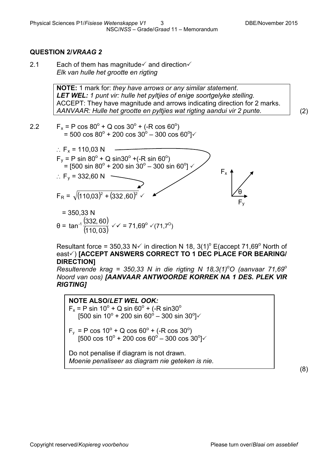# **QUESTION 2/***VRAAG 2*

2.1 Each of them has magnitude and direction  $\checkmark$ *Elk van hulle het grootte en rigting*

> **NOTE:** 1 mark for: *they have arrows or any similar statement*. *LET WEL: 1 punt vir: hulle het pyltjies of enige soortgelyke stelling.* ACCEPT: They have magnitude and arrows indicating direction for 2 marks. *AANVAAR: Hulle het grootte en pyltjies wat rigting aandui vir 2 punte.* (2)

2.2  $F_x = P \cos 80^\circ + Q \cos 30^\circ + (-R \cos 60^\circ)$ = 500 cos 80 $^{\circ}$  + 200 cos 30 $^{\circ}$  – 300 cos 60 $^{\circ}$ ] $\checkmark$ 



Resultant force = 350,33 N $\checkmark$  in direction N 18, 3(1)<sup>o</sup> E(accept 71,69<sup>o</sup> North of east $\checkmark$ ) **[ACCEPT ANSWERS CORRECT TO 1 DEC PLACE FOR BEARING/ DIRECTION]**

Resulterende krag = 350,33 N in die rigting N 18,3(1)<sup>o</sup>O (aanvaar 71,69<sup>o</sup> *Noord van oos) [AANVAAR ANTWOORDE KORREK NA 1 DES. PLEK VIR RIGTING]*

**NOTE ALSO/***LET WEL OOK:*  $F_x = P \sin 10^\circ + Q \sin 60^\circ + (-R \sin 30^\circ)$ [500 sin 10 $^{\circ}$  + 200 sin 60 $^{\circ}$  – 300 sin 30 $^{\circ}$ ] $\checkmark$  $F_y = P \cos 10^\circ + Q \cos 60^\circ + (-R \cos 30^\circ)$ [500 cos 10<sup>o</sup> + 200 cos 60<sup>o</sup> – 300 cos 30<sup>o</sup>] $\checkmark$ Do not penalise if diagram is not drawn. *Moenie penaliseer as diagram nie geteken is nie.*

(8)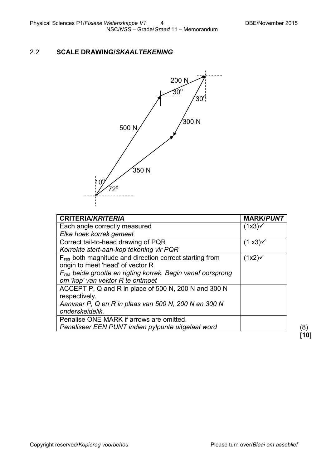# 2.2 **SCALE DRAWING/***SKAALTEKENING*



| <b>CRITERIA/KRITERIA</b>                                                | <b>MARK/PUNT</b> |
|-------------------------------------------------------------------------|------------------|
| Each angle correctly measured                                           | (1x3)            |
| Elke hoek korrek gemeet                                                 |                  |
| Correct tail-to-head drawing of PQR                                     | (1 x3)           |
| Korrekte stert-aan-kop tekening vir PQR                                 |                  |
| $F_{\text{res}}$ both magnitude and direction correct starting from     | (1x2)            |
| origin to meet 'head' of vector R                                       |                  |
| $F_{\text{res}}$ beide grootte en rigting korrek. Begin vanaf oorsprong |                  |
| om 'kop' van vektor R te ontmoet                                        |                  |
| ACCEPT P, Q and R in place of 500 N, 200 N and 300 N                    |                  |
| respectively.                                                           |                  |
| Aanvaar P, Q en R in plaas van 500 N, 200 N en 300 N                    |                  |
| onderskeidelik.                                                         |                  |
| Penalise ONE MARK if arrows are omitted.                                |                  |
| Penaliseer EEN PUNT indien pylpunte uitgelaat word                      |                  |

**[10]**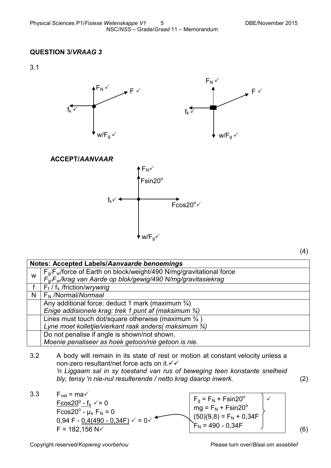# **QUESTION 3/***VRAAG 3*

3.1





 **ACCEPT/***AANVAAR*



|   | Notes: Accepted Labels/Aanvaarde benoemings                                       |
|---|-----------------------------------------------------------------------------------|
| W | $F_{\alpha}F_{w}/$ force of Earth on block/weight/490 N/mg/gravitational force    |
|   | $F_{\alpha}$ F <sub>w</sub> /krag van Aarde op blok/gewig/490 N/mg/gravitasiekrag |
|   | $F_f / f_k$ /friction/wrywing                                                     |
| N | $F_N$ /Normal/Normaal                                                             |
|   | Any additional force: deduct 1 mark (maximum $\frac{3}{4}$ )                      |
|   | Enige addisionele krag: trek 1 punt af (maksimum 3/4)                             |
|   | Lines must touch dot/square otherwise (maximum $\frac{3}{4}$ )                    |
|   | Lyne moet kolletjie/vierkant raak anders(maksimum 3/4)                            |
|   | Do not penalise if angle is shown/not shown.                                      |
|   | Moenie penaliseer as hoek getoon/nie getoon is nie.                               |

- 3.2 A body will remain in its state of rest or motion at constant velocity unless a non-zero resultant/net force acts on it. √ ✓ *'n Liggaam sal in sy toestand van rus of beweging teen konstante snelheid bly, tensy 'n nie-nul resulterende / netto krag daarop inwerk.* (2)
- 3.3 F<sub>net</sub> = ma $\checkmark$  $F \cos 20^\circ - f_k \le 0$  $F \cos 20^\circ - \mu_k F_N = 0$  $0,94$  F -  $0,4(490 - 0,34)$   $\checkmark$  = 0 $\checkmark$

 $F = 182,156 \text{ N}$  (6)  $F_g = F_N + Fsin20^\circ$  $mg = F_N + Fsin20^\circ$  $(50)(9,8) = F_N + 0,34F$  $F_N = 490 - 0,34F$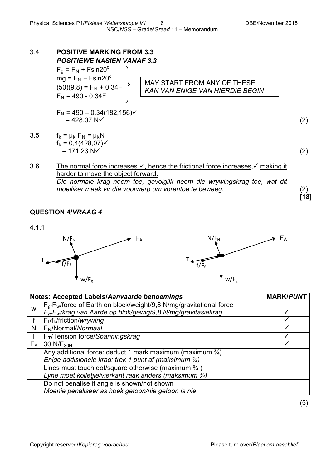# 3.4 **POSITIVE MARKING FROM 3.3**

*POSITIEWE NASIEN VANAF 3.3*  $F_q = F_N + Fsin20^\circ$  $mg = F_N + Fsin20^\circ$  $(50)(9,8) = F_N + 0,34F$  $F_N = 490 - 0,34F$ 

 $F_N = 490 - 0,34(182,156)$  $= 428.07 N<sub>2</sub>$ 

3.5  $f_k = \mu_k F_N = \mu_k N$  $f_k = 0,4(428,07)$  $= 171,23 \text{ N}$  (2)

MAY START FROM ANY OF THESE *KAN VAN ENIGE VAN HIERDIE BEGIN*

$$
(2)
$$

**[18]**

# 3.6 The normal force increases  $\checkmark$ , hence the frictional force increases,  $\checkmark$  making it harder to move the object forward. *Die normale krag neem toe, gevolglik neem die wrywingskrag toe, wat dit moeiliker maak vir die voorwerp om vorentoe te beweeg.* (2)

# **QUESTION 4/***VRAAG 4*







|       | Notes: Accepted Labels/Aanvaarde benoemings                                                   | <b>MARK/PUNT</b> |
|-------|-----------------------------------------------------------------------------------------------|------------------|
|       | $F_{q}F_{w}$ /force of Earth on block/weight/9,8 N/mg/gravitational force                     |                  |
| W     | $\overline{F}_{\alpha}$ /F <sub>w</sub> /krag van Aarde op blok/gewig/9,8 N/mg/gravitasiekrag |                  |
| f     | $F_f/f_k$ /friction/wrywing                                                                   |                  |
| N     | $F_N/N$ ormal/ <i>Normaal</i>                                                                 |                  |
|       | F <sub>T</sub> /Tension force/Spanningskrag                                                   |                  |
| $F_A$ | 30 N/ $F_{30N}$                                                                               |                  |
|       | Any additional force: deduct 1 mark maximum (maximum 3/4)                                     |                  |
|       | Enige addisionele krag: trek 1 punt af (maksimum 3/4)                                         |                  |
|       | Lines must touch dot/square otherwise (maximum $\frac{3}{4}$ )                                |                  |
|       | Lyne moet kolletjie/vierkant raak anders (maksimum 3/4)                                       |                  |
|       | Do not penalise if angle is shown/not shown                                                   |                  |
|       | Moenie penaliseer as hoek getoon/nie getoon is nie.                                           |                  |

(5)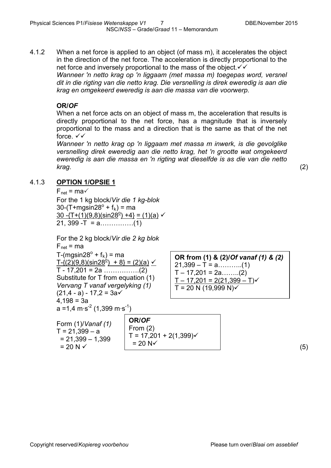4.1.2 When a net force is applied to an object (of mass m), it accelerates the object in the direction of the net force. The acceleration is directly proportional to the net force and inversely proportional to the mass of the object.  $\checkmark\checkmark$ *Wanneer 'n netto krag op 'n liggaam (met massa m) toegepas word, versnel* 

*dit in die rigting van die netto krag. Die versnelling is direk eweredig is aan die krag en omgekeerd eweredig is aan die massa van die voorwerp.*

# **OR/***OF*

When a net force acts on an object of mass m, the acceleration that results is directly proportional to the net force, has a magnitude that is inversely proportional to the mass and a direction that is the same as that of the net force.  $\checkmark\checkmark$ 

*Wanneer 'n netto krag op 'n liggaam met massa m inwerk, is die gevolglike versnelling direk eweredig aan die netto krag, het 'n grootte wat omgekeerd eweredig is aan die massa en 'n rigting wat dieselfde is as die van die netto krag.* (2)

# 4.1.3 **OPTION 1/OPSIE 1**

 $F_{net} = ma \checkmark$ For the 1 kg block/*Vir die 1 kg-blok* 30-(T+mgsin28 $^{\circ}$  + f<sub>k</sub>) = ma <u>30 -{T+(1)(9,8)(sin28<sup>o</sup>) +4} = (1)(a)</u>  $\checkmark$ 21, 399 -T = a……………(1)

```
For the 2 kg block/Vir die 2 kg blok
```
 $F_{net}$  = ma T-(mgsin28<sup>o</sup> +  $f_k$ ) = ma T-{(2)(9,8)(sin28<sup>o</sup>) + 8} = (2)(a)  $\checkmark$ T - 17,201 = 2a …………….(2) Substitute for T from equation (1) *Vervang T vanaf vergelyking (1)*  $(21, 4 - a) - 17, 2 = 3a$  $4,198 = 3a$ a =1,4 m·s<sup>-2</sup> (1,399 m·s<sup>-1</sup>)

Form (1)/*Vanaf (1)*  $T = 21,399 - a$  $= 21,399 - 1,399$ 

 $= 20 N \checkmark$  (5) **OR/***OF* From (2)  $T = 17,201 + 2(1,399)$  $= 20 N<sub>1</sub>$ 

**OR from (1) & (2)/***Of vanaf (1) & (2)*  $21,399 - T = a$ ...........(1)  $T - 17,201 = 2a$ ........(2)  $T - 17,201 = 2(21,399 - T)\checkmark$  $T = 20 N (19,999 N)$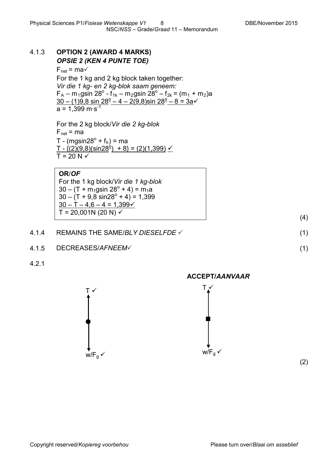# 4.1.3 **OPTION 2 (AWARD 4 MARKS)** *OPSIE 2 (KEN 4 PUNTE TOE)*

 $F_{net} = ma \checkmark$ For the 1 kg and 2 kg block taken together: *Vir die 1 kg- en 2 kg-blok saam geneem:*  $F_A - m_1$ gsin 28<sup>o</sup> - f<sub>1k</sub> – m<sub>2</sub>gsin 28<sup>o</sup> – f<sub>2k</sub> = (m<sub>1</sub> + m<sub>2</sub>)a  $30 - (1)9.8 \sin 28^{\circ} - 4 - 2(9.8) \sin 28^{\circ} - 8 = 3a$ a =  $1,399 \text{ m·s}^{-1}$ 

For the 2 kg block/*Vir die 2 kg-blok*  $F_{net} = ma$ T - (mgsin28 $^{\circ}$  + f<sub>k</sub>) = ma  $T - \{(2)(9,8)(\sin 28^{\circ}) + 8\} = (2)(1,399)$   $\checkmark$  $T = 20 N \sqrt{ }$ 

#### **OR**/*OF*

For the 1 kg block/*Vir die 1 kg-blok*  $30 - (T + m_1 g \sin 28^\circ + 4) = m_1 a$  $30 - (T + 9.8 \sin 28^\circ + 4) = 1,399$  $30 - T - 4,6 - 4 = 1,399$  $T = 20,001N (20 N)$ 

- 4.1.4 REMAINS THE SAME/*BLY DIESELFDE* (1)
- 4.1.5 DECREASES/*AFNEEM* (1)
- 4.2.1



**ACCEPT/***AANVAAR*

T v  $w/F_a$ 

(2)

(4)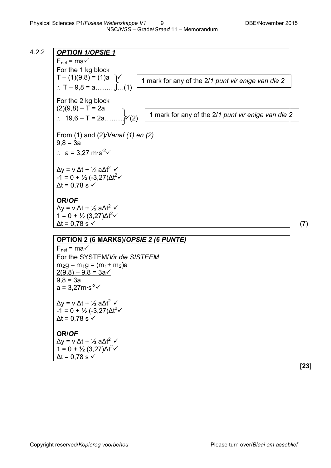4.2.2 *OPTION 1/OPSIE 1*  $F_{net}$  = ma $\checkmark$ For the 1 kg block  $T - (1)(9,8) = (1)a$ ∴ T – 9,8 = a………….(1) For the 2 kg block  $(2)(9,8) - T = 2a$ ∴ 19,6 – T = 2a……… $\varkappa(2)$ From (1) and (2)*/Vanaf (1) en (2)*  $9,8 = 3a$ ∴ a = 3,27 m⋅s<sup>-2</sup> $\checkmark$  $Δy = v<sub>i</sub>Δt + ½ aΔt<sup>2</sup>$   $\checkmark$  $-1 = 0 + \frac{1}{2} (-3.27) \Delta t^2$  $\Delta t = 0.78$  s  $\checkmark$ **OR/***OF*  $Δy = v<sub>i</sub>Δt + ½ aΔt<sup>2</sup>$   $\checkmark$  $1 = 0 + \frac{1}{2} (3.27) \Delta t^2$  $\Delta t = 0.78 \text{ s}$  (7) 1 mark for any of the 2/*1 punt vir enige van die 2* 1 mark for any of the 2/*1 punt vir enige van die 2*

### **OPTION 2 (6 MARKS)/***OPSIE 2 (6 PUNTE)*

 $F_{net} = ma \checkmark$ For the SYSTEM/*Vir die SISTEEM*  $m_2g - m_1g = (m_1 + m_2)a$  $2(9,8) - 9,8 = 3a\checkmark$  $9,8 = 3a$ a = 3,27m $\cdot$ s<sup>-2</sup> $\checkmark$  $Δv = v<sub>i</sub>Δt + ½ aΔt<sup>2</sup>$   $\checkmark$ 

 $-1 = 0 + \frac{1}{2} (-3.27) \Delta t^2$  $\Delta t = 0.78$  s  $\checkmark$ 

#### **OR/***OF*  $Δy = v<sub>i</sub>Δt + ½ aΔt<sup>2</sup>$   $\checkmark$  $1 = 0 + \frac{1}{2} (3.27) \Delta t^2$  $\Delta t = 0.78$  s  $\checkmark$

**[23]**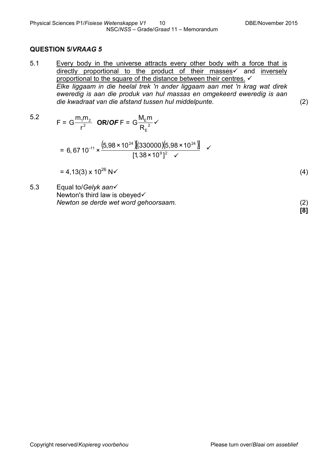# **QUESTION 5/***VRAAG 5*

5.1 Every body in the universe attracts every other body with a force that is directly proportional to the product of their masses $\checkmark$  and inversely proportional to the square of the distance between their centres.  $\checkmark$ *Elke liggaam in die heelal trek 'n ander liggaam aan met 'n krag wat direk eweredig is aan die produk van hul massas en omgekeerd eweredig is aan die kwadraat van die afstand tussen hul middelpunte.* (2)

5.2  
\n
$$
F = G \frac{m_1 m_2}{r^2} \quad \text{OR}/\text{OFF} = G \frac{M_E m}{R_E^2} \checkmark
$$
\n
$$
= 6,67 10^{-11} \times \frac{(5,98 \times 10^{24})(330000)(5,98 \times 10^{24})}{[1,38 \times 10^9]^2} \checkmark
$$
\n
$$
= 4,13(3) \times 10^{26} \text{ N} \checkmark
$$
\n(4)

5.3 Equal to/*Gelyk aan* Newton's third law is obeyed√ *Newton se derde wet word gehoorsaam.* (2)

**[8]**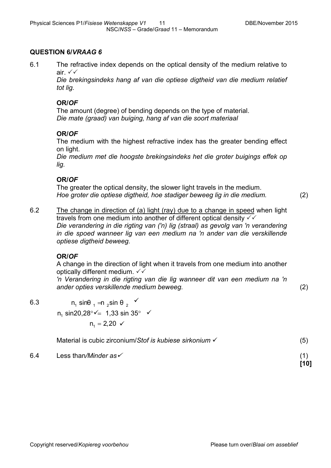# **QUESTION 6/***VRAAG 6*

6.1 The refractive index depends on the optical density of the medium relative to air.

> *Die brekingsindeks hang af van die optiese digtheid van die medium relatief tot lig.*

#### **OR/***OF*

The amount (degree) of bending depends on the type of material. *Die mate (graad) van buiging, hang af van die soort materiaal* 

#### **OR/***OF*

The medium with the highest refractive index has the greater bending effect on light.

*Die medium met die hoogste brekingsindeks het die groter buigings effek op lig.*

#### **OR/***OF*

The greater the optical density, the slower light travels in the medium. *Hoe groter die optiese digtheid, hoe stadiger beweeg lig in die medium.* (2)

6.2 The change in direction of (a) light (ray) due to a change in speed when light travels from one medium into another of different optical density  $\checkmark\checkmark$ *Die verandering in die rigting van ('n) lig (straal) as gevolg van 'n verandering in die spoed wanneer lig van een medium na 'n ander van die verskillende optiese digtheid beweeg.*

#### **OR/***OF*

A change in the direction of light when it travels from one medium into another optically different medium.  $\checkmark\checkmark$ 

*'n Verandering in die rigting van die lig wanneer dit van een medium na 'n ander opties verskillende medium beweeg.* (2)

**[10]**

6.3  $n_1 \sin\theta_1 = n_2 \sin\theta_2$ n<sub>1</sub> sin20,28° $\checkmark$  = 1,33 sin 35°  $\checkmark$  $n_1 = 2,20 \checkmark$ 

Material is cubic zirconium/*Stof is kubiese sirkonium*  (5)

6.4 Less than*/Minder as* (1)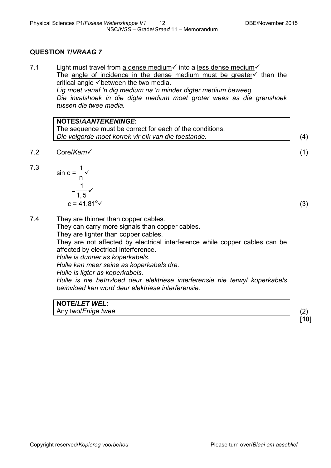# **QUESTION 7/***VRAAG 7*

7.1 Light must travel from a dense medium into a less dense medium The angle of incidence in the dense medium must be greater $\checkmark$  than the critical angle  $\checkmark$  between the two media. *Lig moet vanaf 'n dig medium na 'n minder digter medium beweeg. Die invalshoek in die digte medium moet groter wees as die grenshoek tussen die twee media.*

**NOTES/***AANTEKENINGE***:** The sequence must be correct for each of the conditions. *Die volgorde moet korrek vir elk van die toestande.* (4)

$$
7.2 \t\t CorelKern \t\t(1)
$$

$$
7.3 \\
$$

$$
\sin c = \frac{1}{n} \checkmark
$$
  
=  $\frac{1}{1,5} \checkmark$   

$$
c = 41.81^\circ
$$

$$
1,5
$$
  
c = 41,81<sup>°</sup> (3)

 $1<sub>2</sub>$ 

7.4 They are thinner than copper cables. They can carry more signals than copper cables. They are lighter than copper cables. They are not affected by electrical interference while copper cables can be affected by electrical interference. *Hulle is dunner as koperkabels. Hulle kan meer seine as koperkabels dra. Hulle is ligter as koperkabels. Hulle is nie beïnvloed deur elektriese interferensie nie terwyl koperkabels beïnvloed kan word deur elektriese interferensie.*

**NOTE/***LET WEL***:** Any two/*Enige twee* (2) **[10]**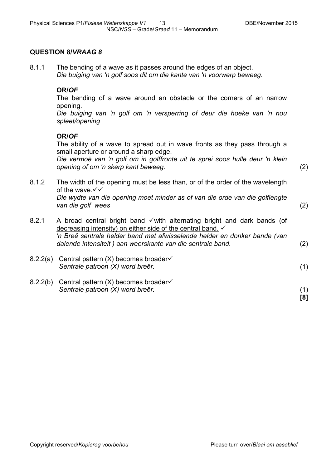# **QUESTION 8/***VRAAG 8*

8.1.1 The bending of a wave as it passes around the edges of an object. *Die buiging van 'n golf soos dit om die kante van 'n voorwerp beweeg.*

### **OR/***OF*

The bending of a wave around an obstacle or the corners of an narrow opening.

*Die buiging van 'n golf om 'n versperring of deur die hoeke van 'n nou spleet/opening*

### **OR/***OF*

The ability of a wave to spread out in wave fronts as they pass through a small aperture or around a sharp edge.

*Die vermoë van 'n golf om in golffronte uit te sprei soos hulle deur 'n klein opening of om 'n skerp kant beweeg.* (2)

- 8.1.2 The width of the opening must be less than, or of the order of the wavelength of the wave.  $\checkmark\checkmark$ *Die wydte van die opening moet minder as of van die orde van die golflengte van die golf wees* (2)
- 8.2.1 A broad central bright band  $\checkmark$  with alternating bright and dark bands (of decreasing intensity) on either side of the central band.  $\checkmark$ *'n Breë sentrale helder band met afwisselende helder en donker bande (van dalende intensiteit ) aan weerskante van die sentrale band.* (2)
- 8.2.2(a) Central pattern  $(X)$  becomes broader $\checkmark$ *Sentrale patroon (X) word breër.* (1)
- 8.2.2(b) Central pattern  $(X)$  becomes broader $\checkmark$ *Sentrale patroon (X) word breër.* (1)

Copyright reserved/*Kopiereg voorbehou* Please turn over/*Blaai om asseblief*

**[8]**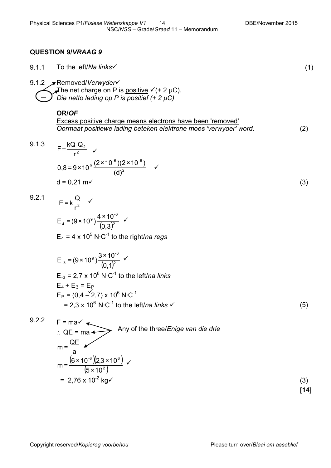#### **QUESTION 9/***VRAAG 9*

$$
9.1.1 \t To the left/Na links \t(1)
$$

9.1.2 Removed/*Verwyder*

The net charge on P is positive  $\checkmark$  (+ 2 µC). *Die netto lading op P is positief (+ 2 μC)* **\_**

#### **OR/***OF*

Excess positive charge means electrons have been 'removed' *Oormaat positiewe lading beteken elektrone moes 'verwyder' word.* (2)

 $\checkmark$ 

9.1.3 
$$
F = \frac{kQ_1Q_2}{r^2} \quad \checkmark
$$
  
0,8 = 9 × 10<sup>9</sup>  $\frac{(2 × 10^{-6})(2 × 10^{-6})}{(d)^2}$   $\checkmark$   
d = 0,21 m $\checkmark$  (3)

9.2.1 
$$
E = k \frac{Q}{r^2} \quad \checkmark
$$
  
\n
$$
E_4 = (9 \times 10^9) \frac{4 \times 10^{-6}}{(0.3)^2} \quad \checkmark
$$
  
\n
$$
E_4 = 4 \times 10^5 \text{ N} \cdot \text{C}^{-1} \text{ to the right/na regs}
$$

$$
E_{-3} = (9 \times 10^{9}) \frac{3 \times 10^{-6}}{(0,1)^{2}} \checkmark
$$
  
\n
$$
E_{-3} = 2,7 \times 10^{6} \text{ N} \cdot \text{C}^{-1} \text{ to the left/na links}
$$
  
\n
$$
E_{4} + E_{3} = E_{P}
$$
  
\n
$$
E_{P} = (0,4 - 2,7) \times 10^{6} \text{ N} \cdot \text{C}^{-1}
$$
  
\n
$$
= 2,3 \times 10^{6} \text{ N} \cdot \text{C}^{-1} \text{ to the left/na links } \checkmark
$$
 (5)

9.2.2  $F = ma \sqrt{2}$ ∴ QE = ma Any of the three/*Enige van die drie* a QE  $m =$  $(6 \times 10^{-6})$   $(2.3 \times 10^{6})$  $(5 \times 10^2)$ 1∩6 ∡ 2 10∘ 5 ×10 6 ×10 2,3 ×10  $m = \frac{(0 \times 10^{-1}) (2.3 \times 10^{-1})}{(5 \times 10^{2})}$  $= 2,76 \times 10^{-2} \text{ kg}$  (3)

**[14]**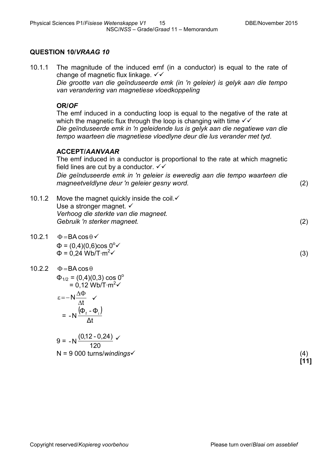# **QUESTION 10/***VRAAG 10*

10.1.1 The magnitude of the induced emf (in a conductor) is equal to the rate of change of magnetic flux linkage.  $\checkmark\checkmark$ *Die grootte van die geïnduseerde emk (in 'n geleier) is gelyk aan die tempo van verandering van magnetiese vloedkoppeling*

# **OR/***OF*

The emf induced in a conducting loop is equal to the negative of the rate at which the magnetic flux through the loop is changing with time  $\sqrt{\sqrt{ }}$ *Die geïnduseerde emk in 'n geleidende lus is gelyk aan die negatiewe van die tempo waarteen die magnetiese vloedlyne deur die lus verander met tyd*.

# **ACCEPT/***AANVAAR*

The emf induced in a conductor is proportional to the rate at which magnetic field lines are cut by a conductor.  $\checkmark\checkmark$ 

*Die geïnduseerde emk in 'n geleier is eweredig aan die tempo waarteen die magneetveldlyne deur 'n geleier gesny word.* (2)

10.1.2 Move the magnet quickly inside the coil. $\checkmark$ Use a stronger magnet.  $\checkmark$ *Verhoog die sterkte van die magneet. Gebruik 'n sterker magneet.* (2)

10.2.1  $\Phi = BA \cos \theta$  $\Phi = (0,4)(0,6) \cos 0^{\circ}$  $\Phi$  = 0.24 Wb/T⋅m<sup>2</sup> $\checkmark$  $\checkmark$  (3)

10.2.2 
$$
\Phi = BA \cos \theta
$$

$$
\Phi_{1/2} = (0,4)(0,3) \cos 0^{\circ}
$$

$$
= 0,12 \text{ Wb/T} \cdot \text{m}^{2}\text{V}
$$

$$
\varepsilon = -N \frac{\Delta \Phi}{\Delta t} \quad \text{V}
$$

$$
= -N \frac{(\Phi_{f} - \Phi_{i})}{\Delta t}
$$

$$
9 = -N \frac{(0,12 - 0,24)}{120} \quad \text{V}
$$

 $N = 9000$  turns/*windings*  $(4)$ 

**[11]**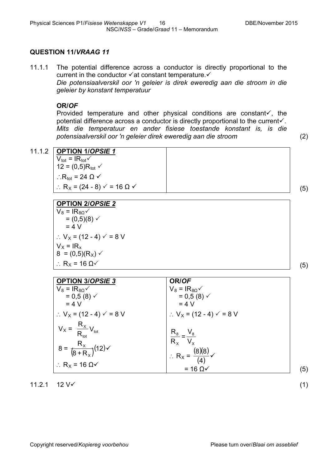# **QUESTION 11/***VRAAG 11*

11.1.1 The potential difference across a conductor is directly proportional to the current in the conductor  $\checkmark$  at constant temperature. $\checkmark$ *Die potensiaalverskil oor 'n geleier is direk eweredig aan die stroom in die geleier by konstant temperatuur*

#### **OR/***OF*

Provided temperature and other physical conditions are constant $\checkmark$ , the potential difference across a conductor is directly proportional to the current $\checkmark$ . *Mits die temperatuur en ander fisiese toestande konstant is, is die potensiaalverskil oor 'n geleier direk eweredig aan die stroom* (2)

| 11.1.2   OPTION 1/OPSIE 1                                                    |     |
|------------------------------------------------------------------------------|-----|
| $V_{\text{tot}} = IR_{\text{tot}}\checkmark$                                 |     |
| 12 = $(0,5)R_{tot}$ $\checkmark$                                             |     |
| $\therefore$ R <sub>tot</sub> = 24 $\Omega \checkmark$                       |     |
| $\therefore$ R <sub>X</sub> = (24 - 8) $\checkmark$ = 16 $\Omega \checkmark$ | (5) |

**OPTION 2/***OPSIE 2*

$$
V_8 = IR_{80} \checkmark
$$
  
\n
$$
= (0,5)(8) \checkmark
$$
  
\n
$$
= 4 V
$$
  
\n
$$
\therefore V_x = (12 - 4) \checkmark = 8 V
$$
  
\n
$$
V_x = IR_x
$$
  
\n
$$
8 = (0,5)(R_x) \checkmark
$$
  
\n
$$
\therefore R_x = 16 \Omega \checkmark
$$
  
\n(5)

| <b>OPTION 3/OPSIE 3</b>                           | OR/OF                                                     |                   |
|---------------------------------------------------|-----------------------------------------------------------|-------------------|
| $V_8 = IR_{8\Omega}$                              | $V_8 = IR_{8\Omega}$                                      |                   |
| $= 0.5(8)$ $\checkmark$                           | $= 0.5(8)$ $\checkmark$                                   |                   |
| $= 4 V$                                           | $= 4 V$                                                   |                   |
| ∴ V <sub>x</sub> = (12 - 4) $\checkmark$ = 8 V    | $\therefore$ V <sub>X</sub> = (12 - 4) $\checkmark$ = 8 V |                   |
| $V_X = \frac{R_X}{R_{\text{tot}}} V_{\text{tot}}$ |                                                           |                   |
|                                                   | $\frac{R_8}{R_x} = \frac{V_8}{V_x}$                       |                   |
| $8 = \frac{R_x}{(8 + R_x)} (12) \checkmark$       | $\overrightarrow{R_X} = \frac{(8)(8)}{(4)}$               |                   |
| $\therefore$ R <sub>X</sub> = 16 $\Omega$         |                                                           |                   |
|                                                   | $= 16 \Omega V$                                           | $\left( 5\right)$ |

 $11.2.1 \quad 12 \, \text{V} \checkmark$  (1)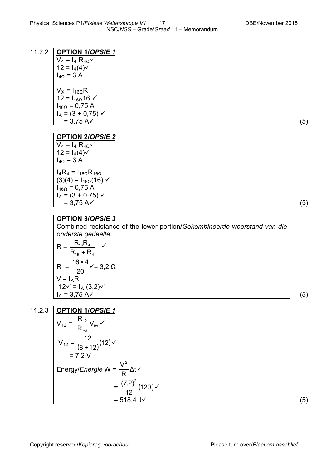| $V_4 = I_4 R_{40}$<br>$12 = I_4(4)$      |  |
|------------------------------------------|--|
| $I_{40} = 3 A$                           |  |
|                                          |  |
| $V_x = I_{160}R$                         |  |
| $12 = I_{160}16$                         |  |
| $I_{160} = 0.75 A$                       |  |
| $I_A = (3 + 0.75)$ $\checkmark$          |  |
| $= 3.75 A\checkmark$                     |  |
|                                          |  |
| <b>OPTION 2/OPSIE 2</b>                  |  |
| $V_4 = I_4 R_{40}$                       |  |
| $12 = I_4(4)$                            |  |
| $I_{4\Omega} = 3 A$                      |  |
| $I_4R_4 = I_{16\Omega}R_{16\Omega}$      |  |
| $(3)(4) = 1_{16\Omega}(16)$ $\checkmark$ |  |
| $I_{160} = 0.75 A$                       |  |
| $I_A = (3 + 0.75)$ $\checkmark$          |  |
| $= 3.75 A\checkmark$                     |  |

Combined resistance of the lower portion/*Gekombineerde weerstand van die onderste gedeelte*:

$$
R = \frac{R_{16}R_4}{R_{16} + R_4} \checkmark
$$
  
\n
$$
R = \frac{16 \times 4}{20} \checkmark = 3,2 \Omega
$$
  
\n
$$
V = I_A R
$$
  
\n
$$
12 \checkmark = I_A (3,2) \checkmark
$$
  
\n
$$
I_A = 3,75 A \checkmark
$$
\n(5)

11.2.3 **OPTION 1/***OPSIE 1*

$$
V_{12} = \frac{R_{12}}{R_{tot}} V_{tot} \checkmark
$$
  
\n
$$
V_{12} = \frac{12}{(8+12)} (12) \checkmark
$$
  
\n
$$
= 7,2 \checkmark
$$
  
\nEnergy/Energie W =  $\frac{V^2}{R} \Delta t \checkmark$   
\n
$$
= \frac{(7,2)^2}{12} (120) \checkmark
$$
  
\n
$$
= 518,4 \checkmark
$$
 (5)